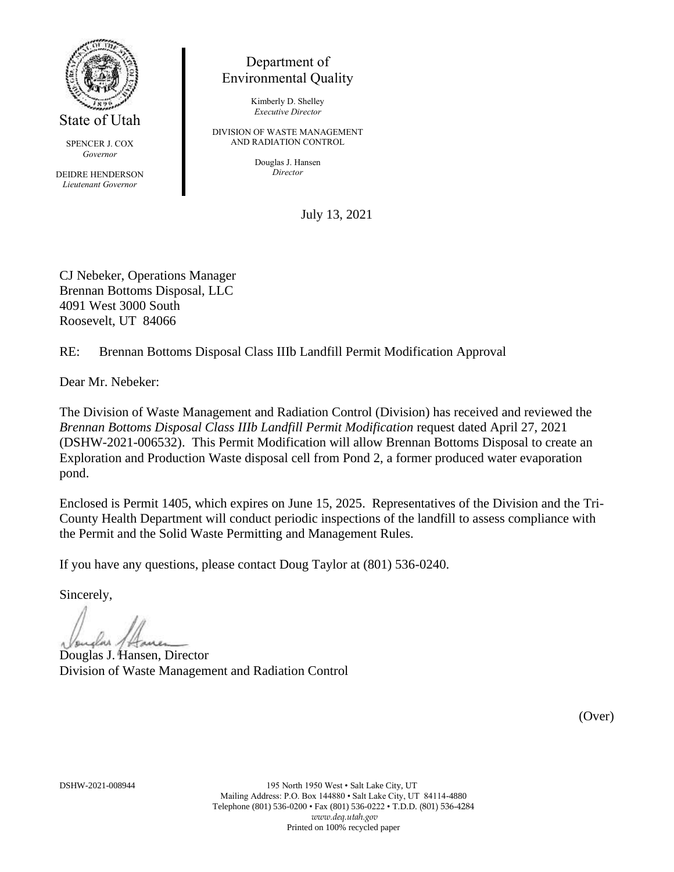

SPENCER J. COX *Governor*

DEIDRE HENDERSON *Lieutenant Governor*

## Department of Environmental Quality

Kimberly D. Shelley *Executive Director*

DIVISION OF WASTE MANAGEMENT AND RADIATION CONTROL

> Douglas J. Hansen *Director*

> > July 13, 2021

CJ Nebeker, Operations Manager Brennan Bottoms Disposal, LLC 4091 West 3000 South Roosevelt, UT 84066

RE: Brennan Bottoms Disposal Class IIIb Landfill Permit Modification Approval

Dear Mr. Nebeker:

The Division of Waste Management and Radiation Control (Division) has received and reviewed the *Brennan Bottoms Disposal Class IIIb Landfill Permit Modification* request dated April 27, 2021 (DSHW-2021-006532). This Permit Modification will allow Brennan Bottoms Disposal to create an Exploration and Production Waste disposal cell from Pond 2, a former produced water evaporation pond.

Enclosed is Permit 1405, which expires on June 15, 2025. Representatives of the Division and the Tri-County Health Department will conduct periodic inspections of the landfill to assess compliance with the Permit and the Solid Waste Permitting and Management Rules.

If you have any questions, please contact Doug Taylor at (801) 536-0240.

Sincerely,

Douglas J. Hansen, Director Division of Waste Management and Radiation Control

(Over)

DSHW-2021-008944 195 North 1950 West • Salt Lake City, UT Mailing Address: P.O. Box 144880 • Salt Lake City, UT 84114-4880 Telephone (801) 536-0200 • Fax (801) 536-0222 • T.D.D. (801) 536-4284 *www.deq.utah.gov* Printed on 100% recycled paper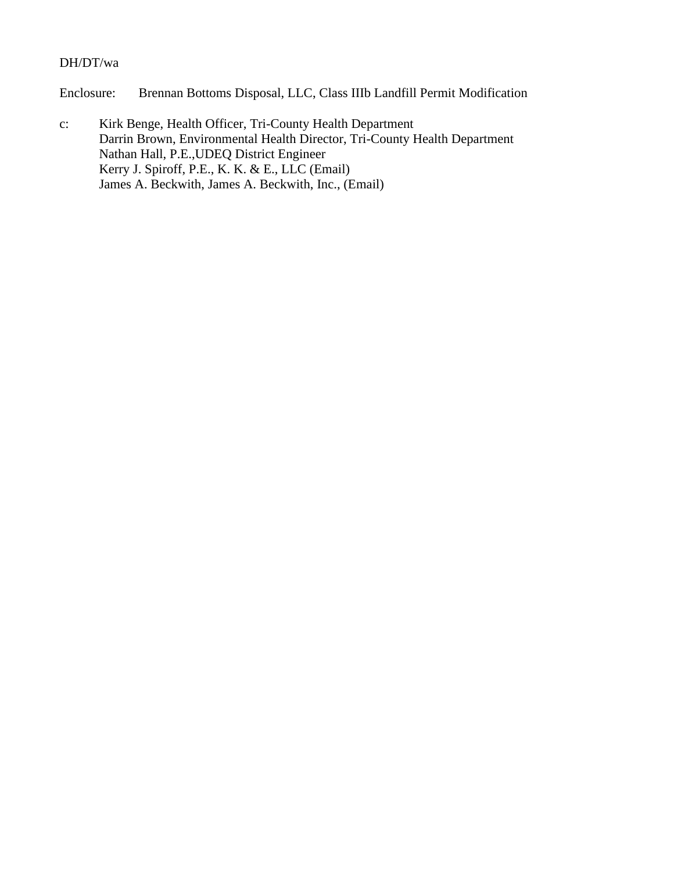### DH/DT/wa

Enclosure: Brennan Bottoms Disposal, LLC, Class IIIb Landfill Permit Modification

c: Kirk Benge, Health Officer, Tri-County Health Department Darrin Brown, Environmental Health Director, Tri-County Health Department Nathan Hall, P.E.,UDEQ District Engineer Kerry J. Spiroff, P.E., K. K. & E., LLC (Email) James A. Beckwith, James A. Beckwith, Inc., (Email)